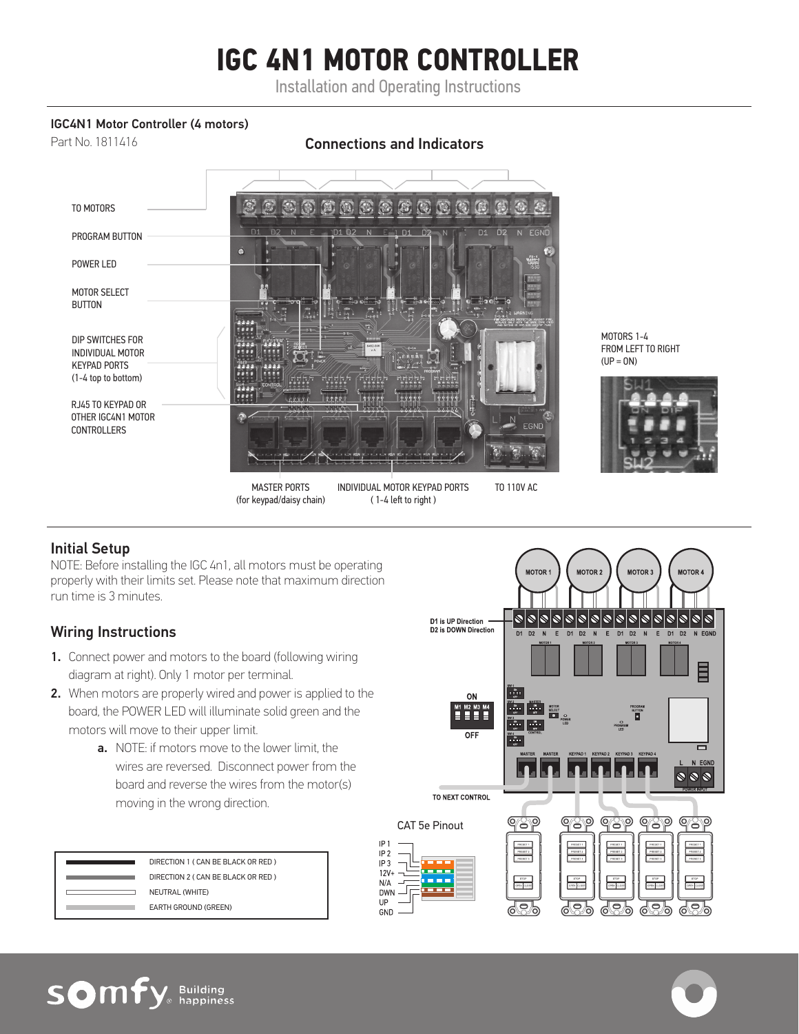# **IGC 4N1 MOTOR CONTROLLER**

Installation and Operating Instructions

#### IGC4N1 Motor Controller (4 motors)

Part No. 1811416 Connections and Indicators TO MOTORS  $\bullet$  $\left( \begin{array}{c} 0 \\ 0 \end{array} \right)$ PROGRAM BUTTON POWER LED MOTOR SELECT BUTTON T. π, DIP SWITCHES FOR INDIVIDUAL MOTOR  $(UP = ON)$ KEYPAD PORTS (1-4 top to bottom) rith FĦ  $r$ 999 RJ45 TO KEYPAD OR OTHER IGC4N1 MOTOR CONTROLLERS MASTER PORTS INDIVIDUAL MOTOR KEYPAD PORTS TO 110V AC (for keypad/daisy chain) ( 1-4 left to right )





## Initial Setup

NOTE: Before installing the IGC 4n1, all motors must be operating properly with their limits set. Please note that maximum direction run time is 3 minutes.

# Wiring Instructions

- 1. Connect power and motors to the board (following wiring diagram at right). Only 1 motor per terminal.
- 2. When motors are properly wired and power is applied to the board, the POWER LED will illuminate solid green and the motors will move to their upper limit.
	- a. NOTE: if motors move to the lower limit, the wires are reversed. Disconnect power from the board and reverse the wires from the motor(s) moving in the wrong direction.